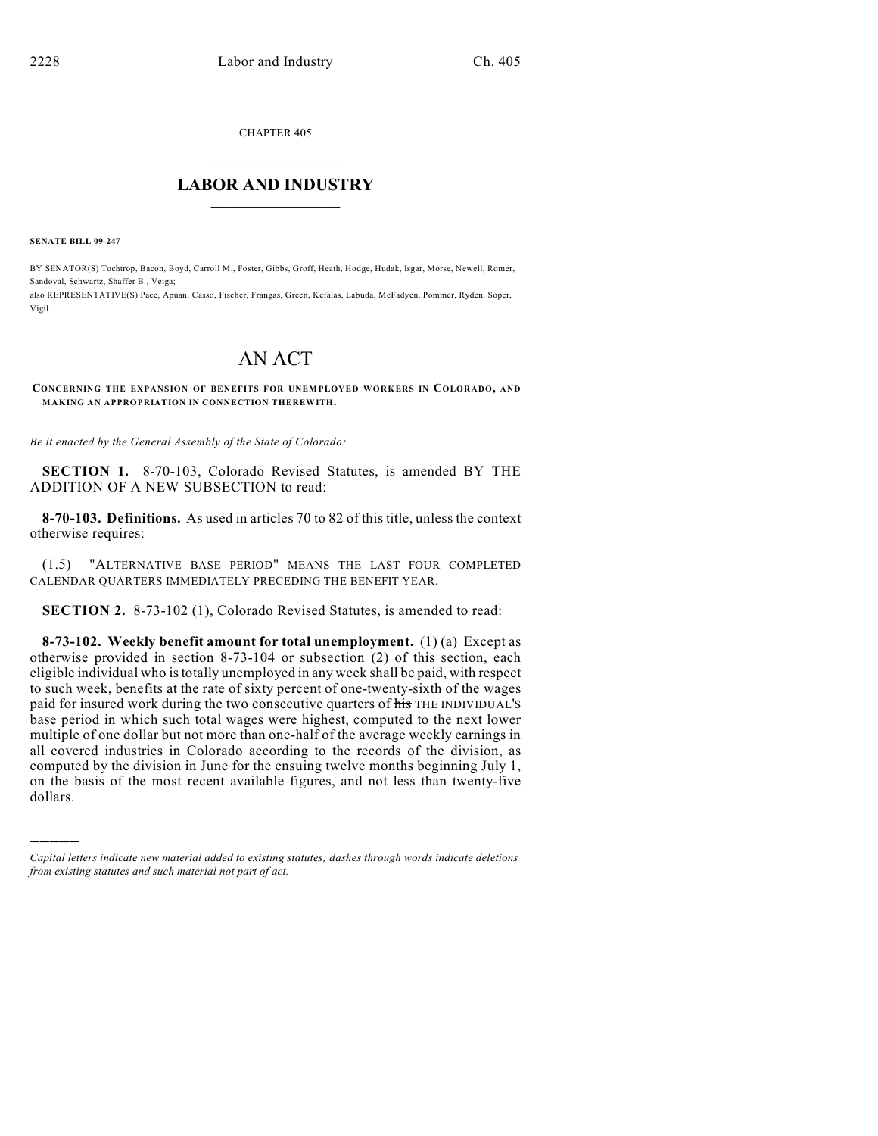CHAPTER 405

## $\mathcal{L}_\text{max}$  . The set of the set of the set of the set of the set of the set of the set of the set of the set of the set of the set of the set of the set of the set of the set of the set of the set of the set of the set **LABOR AND INDUSTRY**  $\frac{1}{\sqrt{2}}$  ,  $\frac{1}{\sqrt{2}}$  ,  $\frac{1}{\sqrt{2}}$  ,  $\frac{1}{\sqrt{2}}$  ,  $\frac{1}{\sqrt{2}}$  ,  $\frac{1}{\sqrt{2}}$

**SENATE BILL 09-247**

)))))

BY SENATOR(S) Tochtrop, Bacon, Boyd, Carroll M., Foster, Gibbs, Groff, Heath, Hodge, Hudak, Isgar, Morse, Newell, Romer, Sandoval, Schwartz, Shaffer B., Veiga;

also REPRESENTATIVE(S) Pace, Apuan, Casso, Fischer, Frangas, Green, Kefalas, Labuda, McFadyen, Pommer, Ryden, Soper, Vigil.

# AN ACT

**CONCERNING THE EXPANSION OF BENEFITS FOR UNEMPLOYED WORKERS IN COLORADO, AND MAKING AN APPROPRIATION IN CONNECTION THEREWITH.**

*Be it enacted by the General Assembly of the State of Colorado:*

**SECTION 1.** 8-70-103, Colorado Revised Statutes, is amended BY THE ADDITION OF A NEW SUBSECTION to read:

**8-70-103. Definitions.** As used in articles 70 to 82 of this title, unless the context otherwise requires:

(1.5) "ALTERNATIVE BASE PERIOD" MEANS THE LAST FOUR COMPLETED CALENDAR QUARTERS IMMEDIATELY PRECEDING THE BENEFIT YEAR.

**SECTION 2.** 8-73-102 (1), Colorado Revised Statutes, is amended to read:

**8-73-102. Weekly benefit amount for total unemployment.** (1) (a) Except as otherwise provided in section 8-73-104 or subsection (2) of this section, each eligible individual who is totally unemployed in any week shall be paid, with respect to such week, benefits at the rate of sixty percent of one-twenty-sixth of the wages paid for insured work during the two consecutive quarters of his THE INDIVIDUAL'S base period in which such total wages were highest, computed to the next lower multiple of one dollar but not more than one-half of the average weekly earnings in all covered industries in Colorado according to the records of the division, as computed by the division in June for the ensuing twelve months beginning July 1, on the basis of the most recent available figures, and not less than twenty-five dollars.

*Capital letters indicate new material added to existing statutes; dashes through words indicate deletions from existing statutes and such material not part of act.*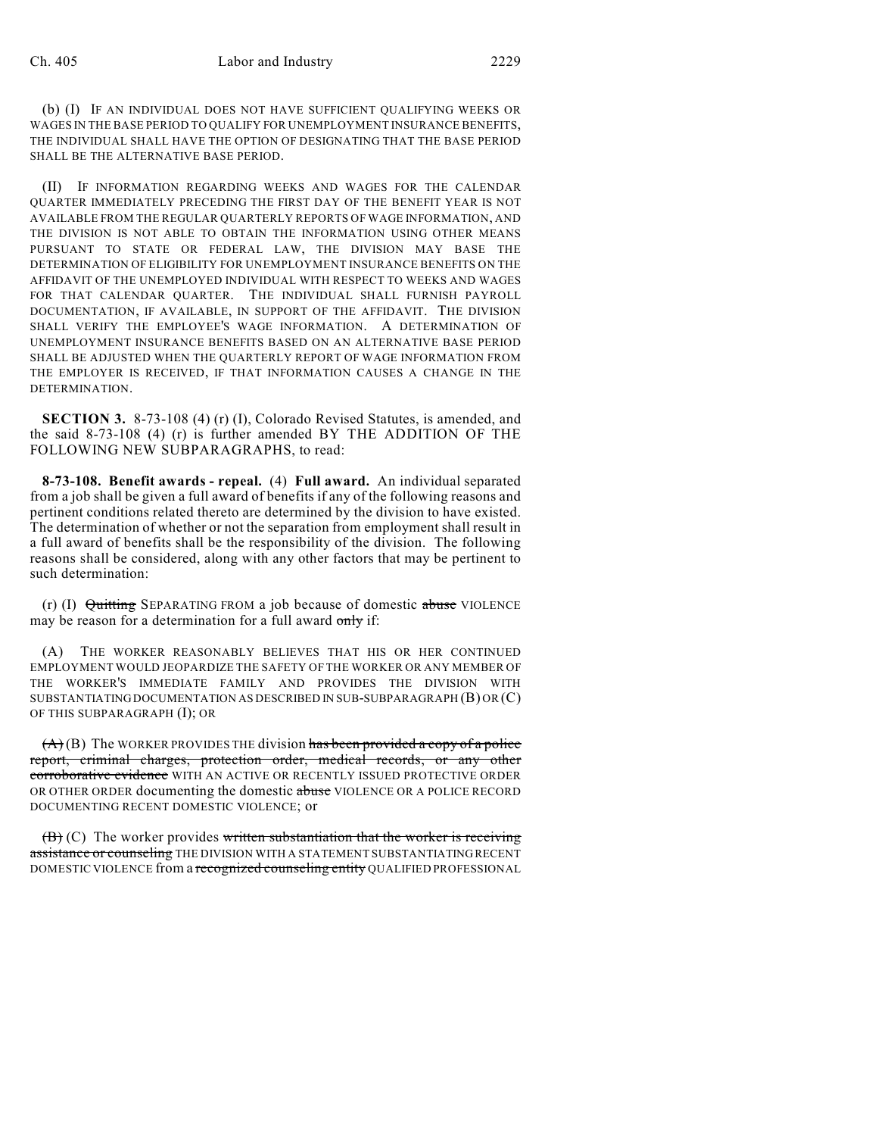(b) (I) IF AN INDIVIDUAL DOES NOT HAVE SUFFICIENT QUALIFYING WEEKS OR WAGES IN THE BASE PERIOD TO QUALIFY FOR UNEMPLOYMENT INSURANCE BENEFITS, THE INDIVIDUAL SHALL HAVE THE OPTION OF DESIGNATING THAT THE BASE PERIOD SHALL BE THE ALTERNATIVE BASE PERIOD.

(II) IF INFORMATION REGARDING WEEKS AND WAGES FOR THE CALENDAR QUARTER IMMEDIATELY PRECEDING THE FIRST DAY OF THE BENEFIT YEAR IS NOT AVAILABLE FROM THE REGULAR QUARTERLY REPORTS OF WAGE INFORMATION, AND THE DIVISION IS NOT ABLE TO OBTAIN THE INFORMATION USING OTHER MEANS PURSUANT TO STATE OR FEDERAL LAW, THE DIVISION MAY BASE THE DETERMINATION OF ELIGIBILITY FOR UNEMPLOYMENT INSURANCE BENEFITS ON THE AFFIDAVIT OF THE UNEMPLOYED INDIVIDUAL WITH RESPECT TO WEEKS AND WAGES FOR THAT CALENDAR QUARTER. THE INDIVIDUAL SHALL FURNISH PAYROLL DOCUMENTATION, IF AVAILABLE, IN SUPPORT OF THE AFFIDAVIT. THE DIVISION SHALL VERIFY THE EMPLOYEE'S WAGE INFORMATION. A DETERMINATION OF UNEMPLOYMENT INSURANCE BENEFITS BASED ON AN ALTERNATIVE BASE PERIOD SHALL BE ADJUSTED WHEN THE QUARTERLY REPORT OF WAGE INFORMATION FROM THE EMPLOYER IS RECEIVED, IF THAT INFORMATION CAUSES A CHANGE IN THE DETERMINATION.

**SECTION 3.** 8-73-108 (4) (r) (I), Colorado Revised Statutes, is amended, and the said 8-73-108 (4) (r) is further amended BY THE ADDITION OF THE FOLLOWING NEW SUBPARAGRAPHS, to read:

**8-73-108. Benefit awards - repeal.** (4) **Full award.** An individual separated from a job shall be given a full award of benefits if any of the following reasons and pertinent conditions related thereto are determined by the division to have existed. The determination of whether or not the separation from employment shall result in a full award of benefits shall be the responsibility of the division. The following reasons shall be considered, along with any other factors that may be pertinent to such determination:

(r) (I)  $\theta$ uitting SEPARATING FROM a job because of domestic abuse VIOLENCE may be reason for a determination for a full award only if:

(A) THE WORKER REASONABLY BELIEVES THAT HIS OR HER CONTINUED EMPLOYMENT WOULD JEOPARDIZE THE SAFETY OF THE WORKER OR ANY MEMBER OF THE WORKER'S IMMEDIATE FAMILY AND PROVIDES THE DIVISION WITH SUBSTANTIATING DOCUMENTATION AS DESCRIBED IN SUB-SUBPARAGRAPH (B) OR (C) OF THIS SUBPARAGRAPH (I); OR

 $(A)(B)$  The WORKER PROVIDES THE division has been provided a copy of a police report, criminal charges, protection order, medical records, or any other corroborative evidence WITH AN ACTIVE OR RECENTLY ISSUED PROTECTIVE ORDER OR OTHER ORDER documenting the domestic abuse VIOLENCE OR A POLICE RECORD DOCUMENTING RECENT DOMESTIC VIOLENCE; or

 $(\mathbf{B})$  (C) The worker provides written substantiation that the worker is receiving assistance or counseling THE DIVISION WITH A STATEMENT SUBSTANTIATING RECENT DOMESTIC VIOLENCE from a recognized counseling entity QUALIFIED PROFESSIONAL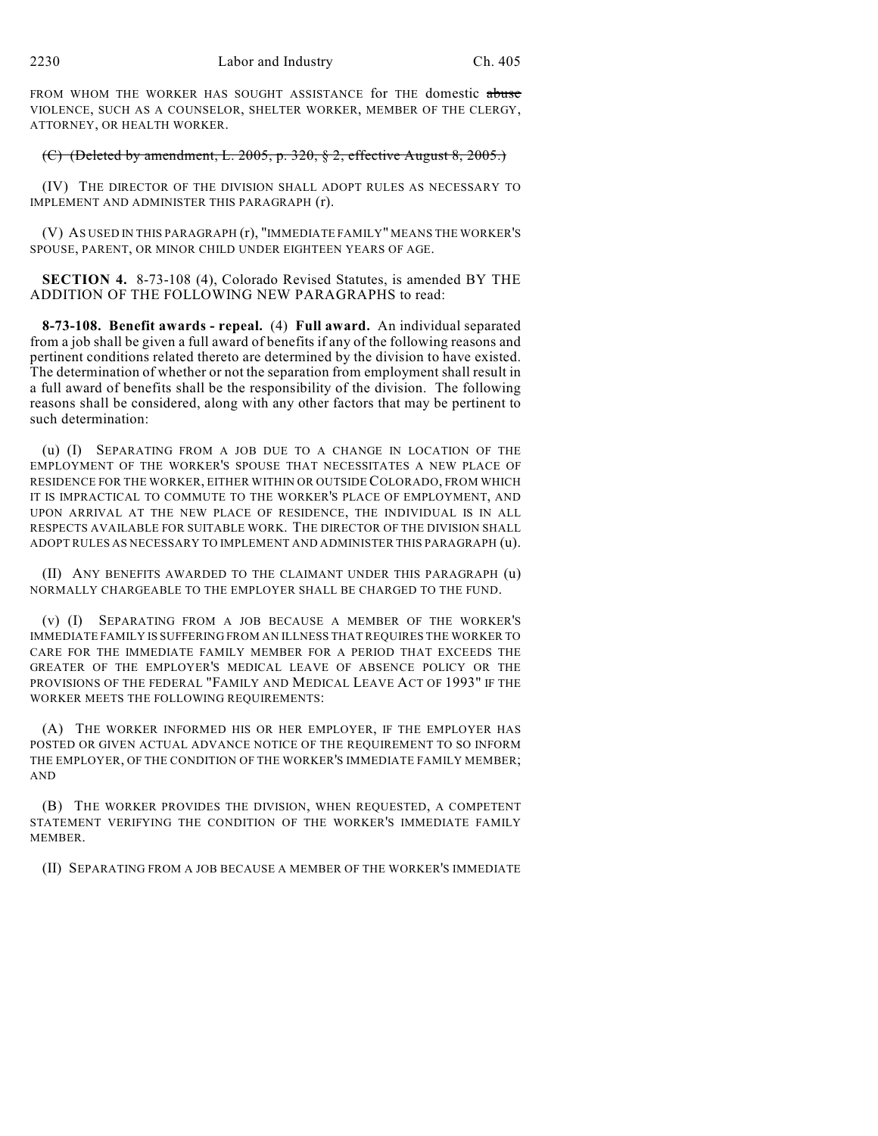FROM WHOM THE WORKER HAS SOUGHT ASSISTANCE for THE domestic abuse VIOLENCE, SUCH AS A COUNSELOR, SHELTER WORKER, MEMBER OF THE CLERGY, ATTORNEY, OR HEALTH WORKER.

## (C) (Deleted by amendment, L. 2005, p. 320,  $\S$  2, effective August  $8, 2005$ .)

(IV) THE DIRECTOR OF THE DIVISION SHALL ADOPT RULES AS NECESSARY TO IMPLEMENT AND ADMINISTER THIS PARAGRAPH (r).

(V) AS USED IN THIS PARAGRAPH (r), "IMMEDIATE FAMILY" MEANS THE WORKER'S SPOUSE, PARENT, OR MINOR CHILD UNDER EIGHTEEN YEARS OF AGE.

**SECTION 4.** 8-73-108 (4), Colorado Revised Statutes, is amended BY THE ADDITION OF THE FOLLOWING NEW PARAGRAPHS to read:

**8-73-108. Benefit awards - repeal.** (4) **Full award.** An individual separated from a job shall be given a full award of benefits if any of the following reasons and pertinent conditions related thereto are determined by the division to have existed. The determination of whether or not the separation from employment shall result in a full award of benefits shall be the responsibility of the division. The following reasons shall be considered, along with any other factors that may be pertinent to such determination:

(u) (I) SEPARATING FROM A JOB DUE TO A CHANGE IN LOCATION OF THE EMPLOYMENT OF THE WORKER'S SPOUSE THAT NECESSITATES A NEW PLACE OF RESIDENCE FOR THE WORKER, EITHER WITHIN OR OUTSIDE COLORADO, FROM WHICH IT IS IMPRACTICAL TO COMMUTE TO THE WORKER'S PLACE OF EMPLOYMENT, AND UPON ARRIVAL AT THE NEW PLACE OF RESIDENCE, THE INDIVIDUAL IS IN ALL RESPECTS AVAILABLE FOR SUITABLE WORK. THE DIRECTOR OF THE DIVISION SHALL ADOPT RULES AS NECESSARY TO IMPLEMENT AND ADMINISTER THIS PARAGRAPH (u).

(II) ANY BENEFITS AWARDED TO THE CLAIMANT UNDER THIS PARAGRAPH (u) NORMALLY CHARGEABLE TO THE EMPLOYER SHALL BE CHARGED TO THE FUND.

(v) (I) SEPARATING FROM A JOB BECAUSE A MEMBER OF THE WORKER'S IMMEDIATE FAMILY IS SUFFERING FROM AN ILLNESS THAT REQUIRES THE WORKER TO CARE FOR THE IMMEDIATE FAMILY MEMBER FOR A PERIOD THAT EXCEEDS THE GREATER OF THE EMPLOYER'S MEDICAL LEAVE OF ABSENCE POLICY OR THE PROVISIONS OF THE FEDERAL "FAMILY AND MEDICAL LEAVE ACT OF 1993" IF THE WORKER MEETS THE FOLLOWING REQUIREMENTS:

(A) THE WORKER INFORMED HIS OR HER EMPLOYER, IF THE EMPLOYER HAS POSTED OR GIVEN ACTUAL ADVANCE NOTICE OF THE REQUIREMENT TO SO INFORM THE EMPLOYER, OF THE CONDITION OF THE WORKER'S IMMEDIATE FAMILY MEMBER; AND

(B) THE WORKER PROVIDES THE DIVISION, WHEN REQUESTED, A COMPETENT STATEMENT VERIFYING THE CONDITION OF THE WORKER'S IMMEDIATE FAMILY MEMBER.

(II) SEPARATING FROM A JOB BECAUSE A MEMBER OF THE WORKER'S IMMEDIATE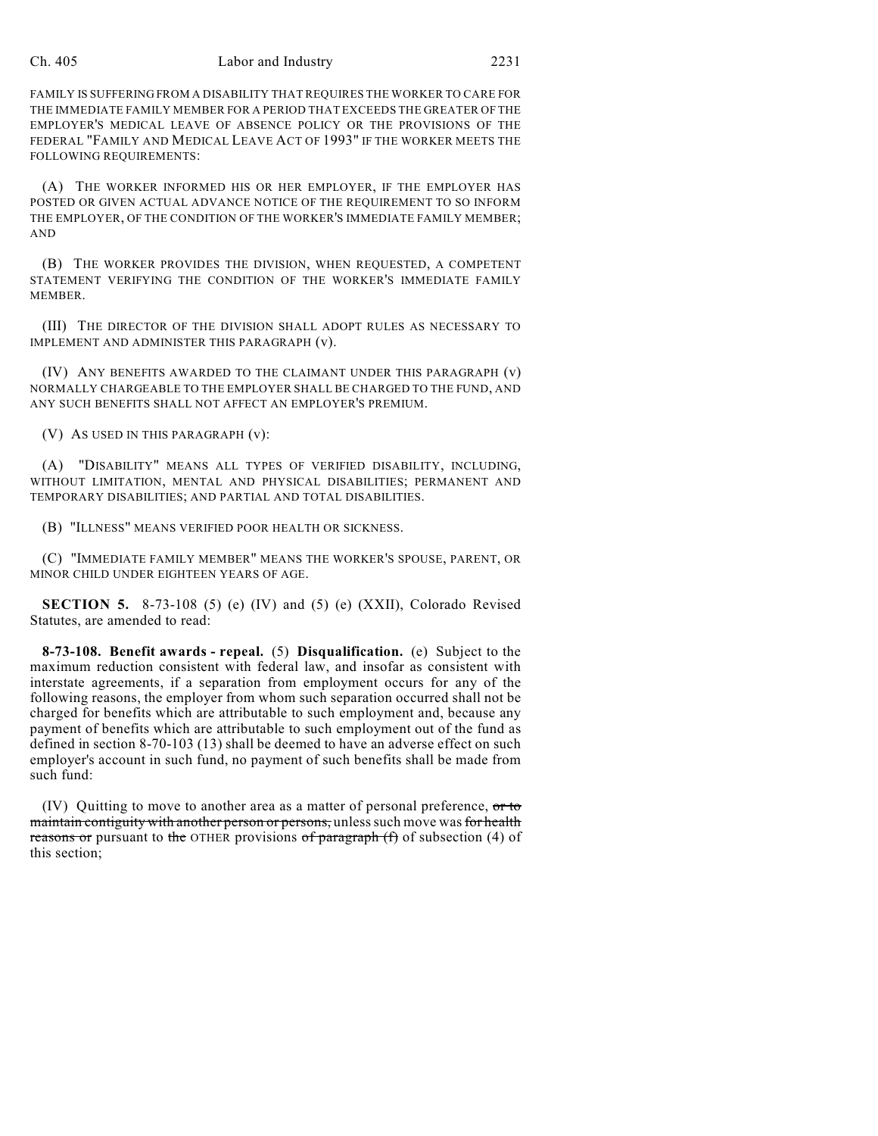### Ch. 405 Labor and Industry 2231

FAMILY IS SUFFERING FROM A DISABILITY THAT REQUIRES THE WORKER TO CARE FOR THE IMMEDIATE FAMILY MEMBER FOR A PERIOD THAT EXCEEDS THE GREATER OF THE EMPLOYER'S MEDICAL LEAVE OF ABSENCE POLICY OR THE PROVISIONS OF THE FEDERAL "FAMILY AND MEDICAL LEAVE ACT OF 1993" IF THE WORKER MEETS THE FOLLOWING REQUIREMENTS:

(A) THE WORKER INFORMED HIS OR HER EMPLOYER, IF THE EMPLOYER HAS POSTED OR GIVEN ACTUAL ADVANCE NOTICE OF THE REQUIREMENT TO SO INFORM THE EMPLOYER, OF THE CONDITION OF THE WORKER'S IMMEDIATE FAMILY MEMBER; AND

(B) THE WORKER PROVIDES THE DIVISION, WHEN REQUESTED, A COMPETENT STATEMENT VERIFYING THE CONDITION OF THE WORKER'S IMMEDIATE FAMILY MEMBER.

(III) THE DIRECTOR OF THE DIVISION SHALL ADOPT RULES AS NECESSARY TO IMPLEMENT AND ADMINISTER THIS PARAGRAPH (v).

(IV) ANY BENEFITS AWARDED TO THE CLAIMANT UNDER THIS PARAGRAPH (v) NORMALLY CHARGEABLE TO THE EMPLOYER SHALL BE CHARGED TO THE FUND, AND ANY SUCH BENEFITS SHALL NOT AFFECT AN EMPLOYER'S PREMIUM.

(V) AS USED IN THIS PARAGRAPH (v):

(A) "DISABILITY" MEANS ALL TYPES OF VERIFIED DISABILITY, INCLUDING, WITHOUT LIMITATION, MENTAL AND PHYSICAL DISABILITIES; PERMANENT AND TEMPORARY DISABILITIES; AND PARTIAL AND TOTAL DISABILITIES.

(B) "ILLNESS" MEANS VERIFIED POOR HEALTH OR SICKNESS.

(C) "IMMEDIATE FAMILY MEMBER" MEANS THE WORKER'S SPOUSE, PARENT, OR MINOR CHILD UNDER EIGHTEEN YEARS OF AGE.

**SECTION 5.** 8-73-108 (5) (e) (IV) and (5) (e) (XXII), Colorado Revised Statutes, are amended to read:

**8-73-108. Benefit awards - repeal.** (5) **Disqualification.** (e) Subject to the maximum reduction consistent with federal law, and insofar as consistent with interstate agreements, if a separation from employment occurs for any of the following reasons, the employer from whom such separation occurred shall not be charged for benefits which are attributable to such employment and, because any payment of benefits which are attributable to such employment out of the fund as defined in section 8-70-103 (13) shall be deemed to have an adverse effect on such employer's account in such fund, no payment of such benefits shall be made from such fund:

(IV) Quitting to move to another area as a matter of personal preference,  $\sigma$ r to maintain contiguity with another person or persons, unless such move was for health reasons or pursuant to the OTHER provisions of paragraph  $(f)$  of subsection (4) of this section;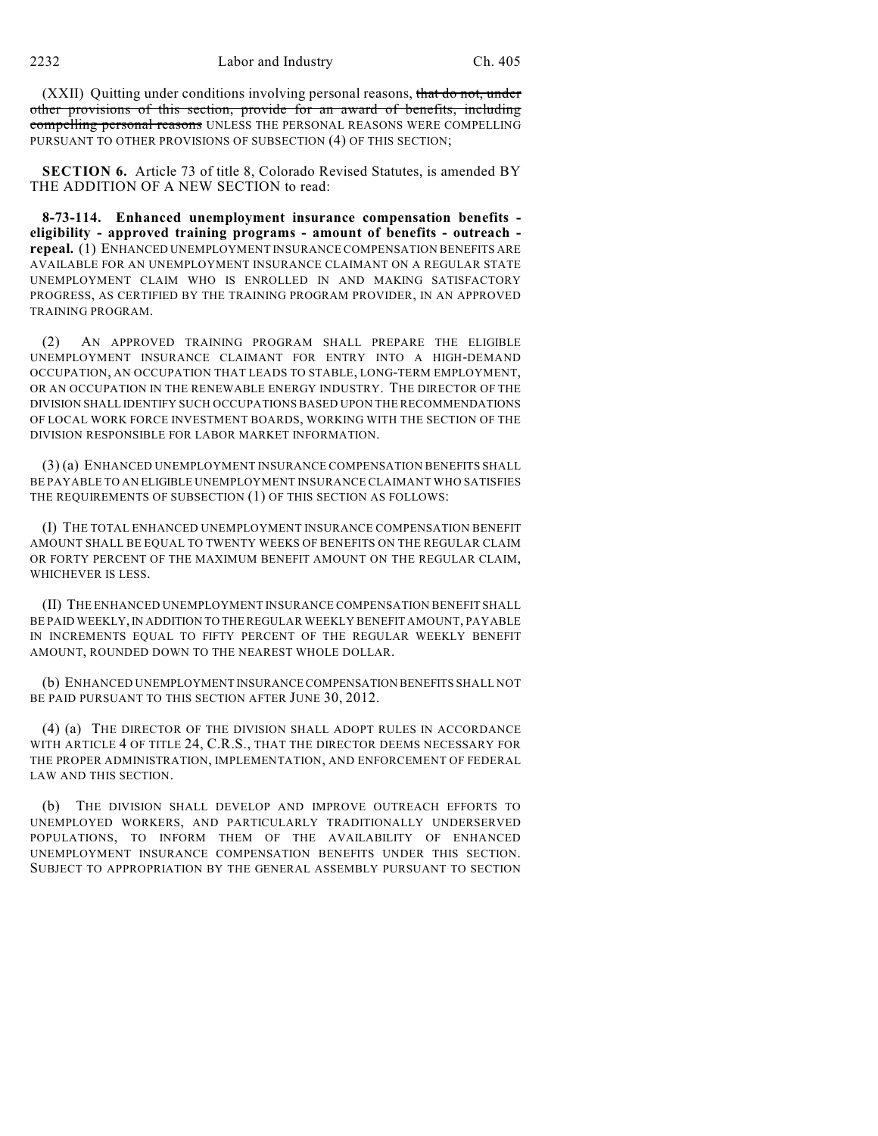(XXII) Quitting under conditions involving personal reasons, that do not, under other provisions of this section, provide for an award of benefits, including compelling personal reasons UNLESS THE PERSONAL REASONS WERE COMPELLING PURSUANT TO OTHER PROVISIONS OF SUBSECTION (4) OF THIS SECTION;

**SECTION 6.** Article 73 of title 8, Colorado Revised Statutes, is amended BY THE ADDITION OF A NEW SECTION to read:

**8-73-114. Enhanced unemployment insurance compensation benefits eligibility - approved training programs - amount of benefits - outreach repeal.** (1) ENHANCED UNEMPLOYMENT INSURANCE COMPENSATION BENEFITS ARE AVAILABLE FOR AN UNEMPLOYMENT INSURANCE CLAIMANT ON A REGULAR STATE UNEMPLOYMENT CLAIM WHO IS ENROLLED IN AND MAKING SATISFACTORY PROGRESS, AS CERTIFIED BY THE TRAINING PROGRAM PROVIDER, IN AN APPROVED TRAINING PROGRAM.

(2) AN APPROVED TRAINING PROGRAM SHALL PREPARE THE ELIGIBLE UNEMPLOYMENT INSURANCE CLAIMANT FOR ENTRY INTO A HIGH-DEMAND OCCUPATION, AN OCCUPATION THAT LEADS TO STABLE, LONG-TERM EMPLOYMENT, OR AN OCCUPATION IN THE RENEWABLE ENERGY INDUSTRY. THE DIRECTOR OF THE DIVISION SHALL IDENTIFY SUCH OCCUPATIONS BASED UPON THE RECOMMENDATIONS OF LOCAL WORK FORCE INVESTMENT BOARDS, WORKING WITH THE SECTION OF THE DIVISION RESPONSIBLE FOR LABOR MARKET INFORMATION.

(3) (a) ENHANCED UNEMPLOYMENT INSURANCE COMPENSATION BENEFITS SHALL BE PAYABLE TO AN ELIGIBLE UNEMPLOYMENT INSURANCE CLAIMANT WHO SATISFIES THE REQUIREMENTS OF SUBSECTION (1) OF THIS SECTION AS FOLLOWS:

(I) THE TOTAL ENHANCED UNEMPLOYMENT INSURANCE COMPENSATION BENEFIT AMOUNT SHALL BE EQUAL TO TWENTY WEEKS OF BENEFITS ON THE REGULAR CLAIM OR FORTY PERCENT OF THE MAXIMUM BENEFIT AMOUNT ON THE REGULAR CLAIM, WHICHEVER IS LESS.

(II) THE ENHANCED UNEMPLOYMENT INSURANCE COMPENSATION BENEFIT SHALL BE PAID WEEKLY, IN ADDITION TO THE REGULAR WEEKLY BENEFIT AMOUNT, PAYABLE IN INCREMENTS EQUAL TO FIFTY PERCENT OF THE REGULAR WEEKLY BENEFIT AMOUNT, ROUNDED DOWN TO THE NEAREST WHOLE DOLLAR.

(b) ENHANCED UNEMPLOYMENT INSURANCE COMPENSATION BENEFITS SHALL NOT BE PAID PURSUANT TO THIS SECTION AFTER JUNE 30, 2012.

(4) (a) THE DIRECTOR OF THE DIVISION SHALL ADOPT RULES IN ACCORDANCE WITH ARTICLE 4 OF TITLE 24, C.R.S., THAT THE DIRECTOR DEEMS NECESSARY FOR THE PROPER ADMINISTRATION, IMPLEMENTATION, AND ENFORCEMENT OF FEDERAL LAW AND THIS SECTION.

(b) THE DIVISION SHALL DEVELOP AND IMPROVE OUTREACH EFFORTS TO UNEMPLOYED WORKERS, AND PARTICULARLY TRADITIONALLY UNDERSERVED POPULATIONS, TO INFORM THEM OF THE AVAILABILITY OF ENHANCED UNEMPLOYMENT INSURANCE COMPENSATION BENEFITS UNDER THIS SECTION. SUBJECT TO APPROPRIATION BY THE GENERAL ASSEMBLY PURSUANT TO SECTION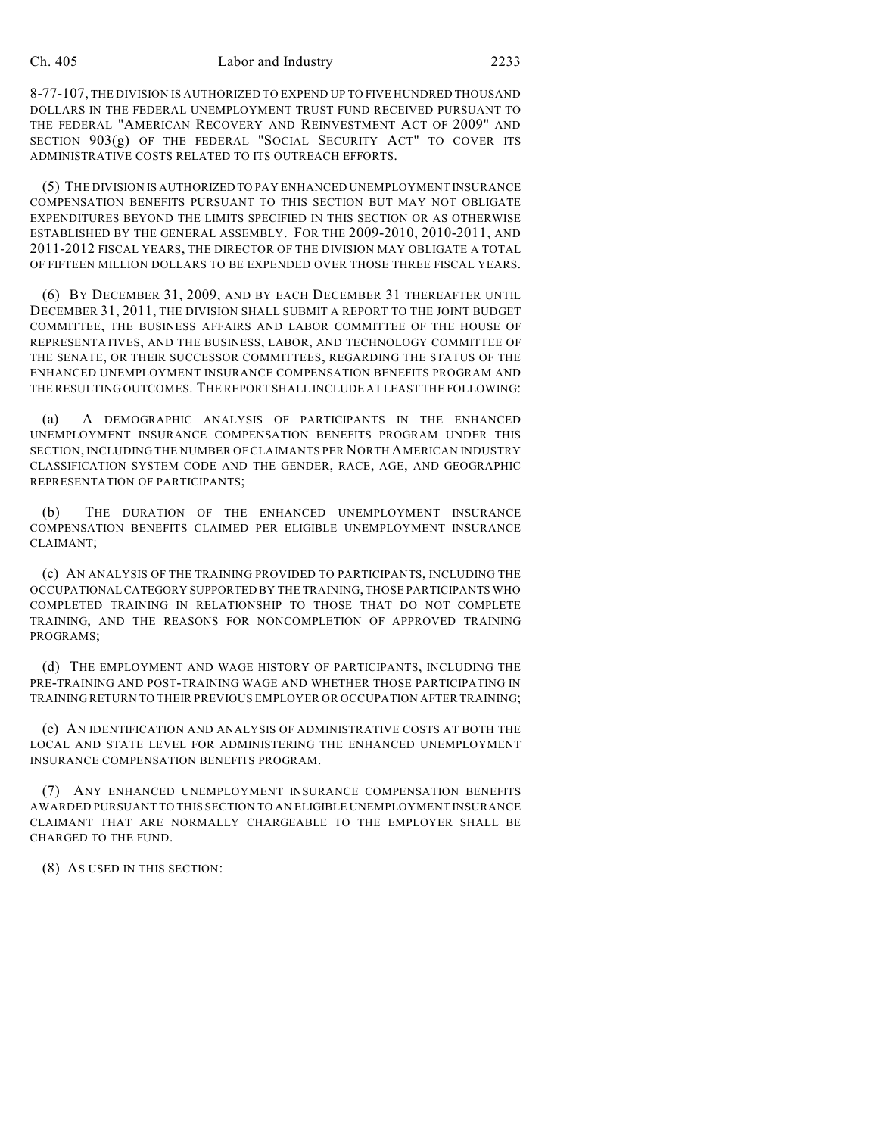8-77-107, THE DIVISION IS AUTHORIZED TO EXPEND UP TO FIVE HUNDRED THOUSAND DOLLARS IN THE FEDERAL UNEMPLOYMENT TRUST FUND RECEIVED PURSUANT TO THE FEDERAL "AMERICAN RECOVERY AND REINVESTMENT ACT OF 2009" AND SECTION 903(g) OF THE FEDERAL "SOCIAL SECURITY ACT" TO COVER ITS ADMINISTRATIVE COSTS RELATED TO ITS OUTREACH EFFORTS.

(5) THE DIVISION IS AUTHORIZED TO PAY ENHANCED UNEMPLOYMENT INSURANCE COMPENSATION BENEFITS PURSUANT TO THIS SECTION BUT MAY NOT OBLIGATE EXPENDITURES BEYOND THE LIMITS SPECIFIED IN THIS SECTION OR AS OTHERWISE ESTABLISHED BY THE GENERAL ASSEMBLY. FOR THE 2009-2010, 2010-2011, AND 2011-2012 FISCAL YEARS, THE DIRECTOR OF THE DIVISION MAY OBLIGATE A TOTAL OF FIFTEEN MILLION DOLLARS TO BE EXPENDED OVER THOSE THREE FISCAL YEARS.

(6) BY DECEMBER 31, 2009, AND BY EACH DECEMBER 31 THEREAFTER UNTIL DECEMBER 31, 2011, THE DIVISION SHALL SUBMIT A REPORT TO THE JOINT BUDGET COMMITTEE, THE BUSINESS AFFAIRS AND LABOR COMMITTEE OF THE HOUSE OF REPRESENTATIVES, AND THE BUSINESS, LABOR, AND TECHNOLOGY COMMITTEE OF THE SENATE, OR THEIR SUCCESSOR COMMITTEES, REGARDING THE STATUS OF THE ENHANCED UNEMPLOYMENT INSURANCE COMPENSATION BENEFITS PROGRAM AND THE RESULTING OUTCOMES. THE REPORT SHALL INCLUDE AT LEAST THE FOLLOWING:

(a) A DEMOGRAPHIC ANALYSIS OF PARTICIPANTS IN THE ENHANCED UNEMPLOYMENT INSURANCE COMPENSATION BENEFITS PROGRAM UNDER THIS SECTION, INCLUDING THE NUMBER OF CLAIMANTS PER NORTH AMERICAN INDUSTRY CLASSIFICATION SYSTEM CODE AND THE GENDER, RACE, AGE, AND GEOGRAPHIC REPRESENTATION OF PARTICIPANTS;

(b) THE DURATION OF THE ENHANCED UNEMPLOYMENT INSURANCE COMPENSATION BENEFITS CLAIMED PER ELIGIBLE UNEMPLOYMENT INSURANCE CLAIMANT;

(c) AN ANALYSIS OF THE TRAINING PROVIDED TO PARTICIPANTS, INCLUDING THE OCCUPATIONAL CATEGORY SUPPORTED BY THE TRAINING, THOSE PARTICIPANTS WHO COMPLETED TRAINING IN RELATIONSHIP TO THOSE THAT DO NOT COMPLETE TRAINING, AND THE REASONS FOR NONCOMPLETION OF APPROVED TRAINING PROGRAMS;

(d) THE EMPLOYMENT AND WAGE HISTORY OF PARTICIPANTS, INCLUDING THE PRE-TRAINING AND POST-TRAINING WAGE AND WHETHER THOSE PARTICIPATING IN TRAINING RETURN TO THEIR PREVIOUS EMPLOYER OR OCCUPATION AFTER TRAINING;

(e) AN IDENTIFICATION AND ANALYSIS OF ADMINISTRATIVE COSTS AT BOTH THE LOCAL AND STATE LEVEL FOR ADMINISTERING THE ENHANCED UNEMPLOYMENT INSURANCE COMPENSATION BENEFITS PROGRAM.

(7) ANY ENHANCED UNEMPLOYMENT INSURANCE COMPENSATION BENEFITS AWARDED PURSUANT TO THIS SECTION TO AN ELIGIBLE UNEMPLOYMENT INSURANCE CLAIMANT THAT ARE NORMALLY CHARGEABLE TO THE EMPLOYER SHALL BE CHARGED TO THE FUND.

(8) AS USED IN THIS SECTION: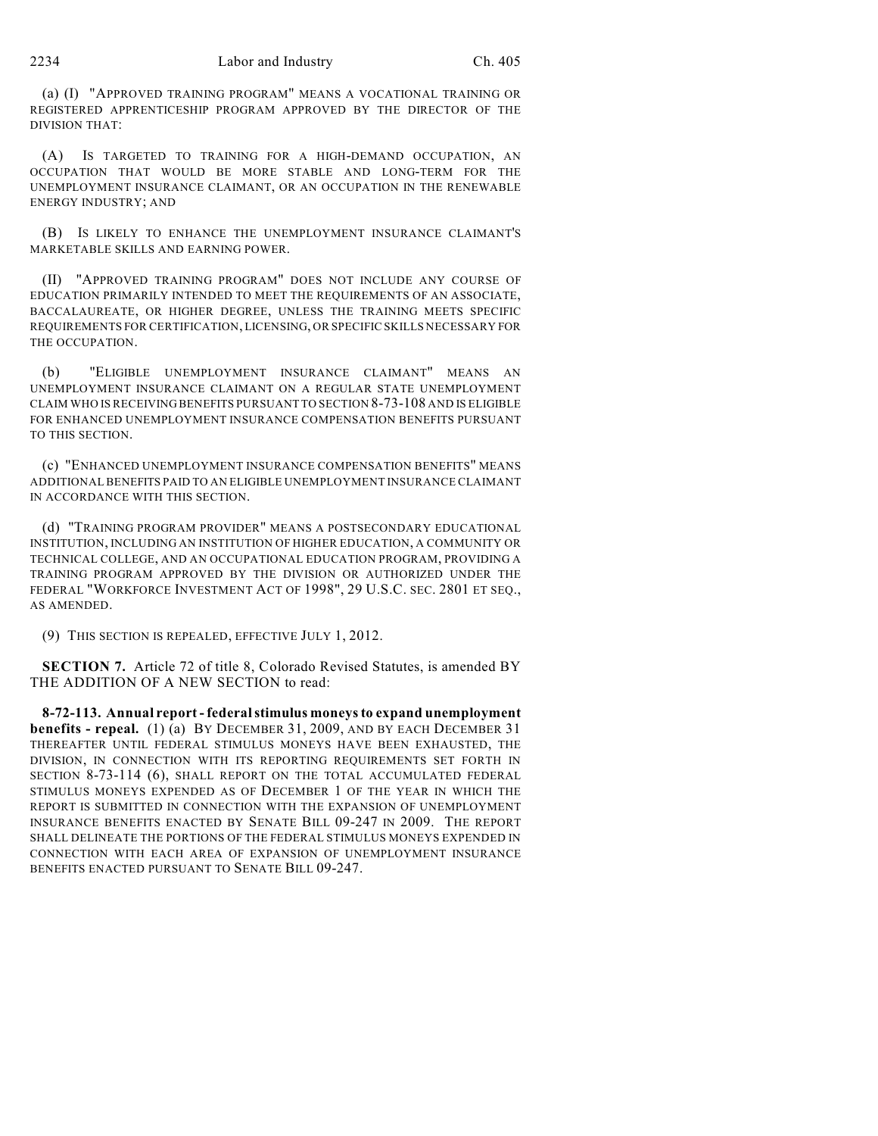(a) (I) "APPROVED TRAINING PROGRAM" MEANS A VOCATIONAL TRAINING OR REGISTERED APPRENTICESHIP PROGRAM APPROVED BY THE DIRECTOR OF THE DIVISION THAT:

(A) IS TARGETED TO TRAINING FOR A HIGH-DEMAND OCCUPATION, AN OCCUPATION THAT WOULD BE MORE STABLE AND LONG-TERM FOR THE UNEMPLOYMENT INSURANCE CLAIMANT, OR AN OCCUPATION IN THE RENEWABLE ENERGY INDUSTRY; AND

(B) IS LIKELY TO ENHANCE THE UNEMPLOYMENT INSURANCE CLAIMANT'S MARKETABLE SKILLS AND EARNING POWER.

(II) "APPROVED TRAINING PROGRAM" DOES NOT INCLUDE ANY COURSE OF EDUCATION PRIMARILY INTENDED TO MEET THE REQUIREMENTS OF AN ASSOCIATE, BACCALAUREATE, OR HIGHER DEGREE, UNLESS THE TRAINING MEETS SPECIFIC REQUIREMENTS FOR CERTIFICATION, LICENSING, OR SPECIFIC SKILLS NECESSARY FOR THE OCCUPATION.

(b) "ELIGIBLE UNEMPLOYMENT INSURANCE CLAIMANT" MEANS AN UNEMPLOYMENT INSURANCE CLAIMANT ON A REGULAR STATE UNEMPLOYMENT CLAIM WHO IS RECEIVING BENEFITS PURSUANT TO SECTION 8-73-108 AND IS ELIGIBLE FOR ENHANCED UNEMPLOYMENT INSURANCE COMPENSATION BENEFITS PURSUANT TO THIS SECTION.

(c) "ENHANCED UNEMPLOYMENT INSURANCE COMPENSATION BENEFITS" MEANS ADDITIONAL BENEFITS PAID TO AN ELIGIBLE UNEMPLOYMENT INSURANCE CLAIMANT IN ACCORDANCE WITH THIS SECTION.

(d) "TRAINING PROGRAM PROVIDER" MEANS A POSTSECONDARY EDUCATIONAL INSTITUTION, INCLUDING AN INSTITUTION OF HIGHER EDUCATION, A COMMUNITY OR TECHNICAL COLLEGE, AND AN OCCUPATIONAL EDUCATION PROGRAM, PROVIDING A TRAINING PROGRAM APPROVED BY THE DIVISION OR AUTHORIZED UNDER THE FEDERAL "WORKFORCE INVESTMENT ACT OF 1998", 29 U.S.C. SEC. 2801 ET SEQ., AS AMENDED.

(9) THIS SECTION IS REPEALED, EFFECTIVE JULY 1, 2012.

**SECTION 7.** Article 72 of title 8, Colorado Revised Statutes, is amended BY THE ADDITION OF A NEW SECTION to read:

**8-72-113. Annual report - federal stimulus moneys to expand unemployment benefits - repeal.** (1) (a) BY DECEMBER 31, 2009, AND BY EACH DECEMBER 31 THEREAFTER UNTIL FEDERAL STIMULUS MONEYS HAVE BEEN EXHAUSTED, THE DIVISION, IN CONNECTION WITH ITS REPORTING REQUIREMENTS SET FORTH IN SECTION 8-73-114 (6), SHALL REPORT ON THE TOTAL ACCUMULATED FEDERAL STIMULUS MONEYS EXPENDED AS OF DECEMBER 1 OF THE YEAR IN WHICH THE REPORT IS SUBMITTED IN CONNECTION WITH THE EXPANSION OF UNEMPLOYMENT INSURANCE BENEFITS ENACTED BY SENATE BILL 09-247 IN 2009. THE REPORT SHALL DELINEATE THE PORTIONS OF THE FEDERAL STIMULUS MONEYS EXPENDED IN CONNECTION WITH EACH AREA OF EXPANSION OF UNEMPLOYMENT INSURANCE BENEFITS ENACTED PURSUANT TO SENATE BILL 09-247.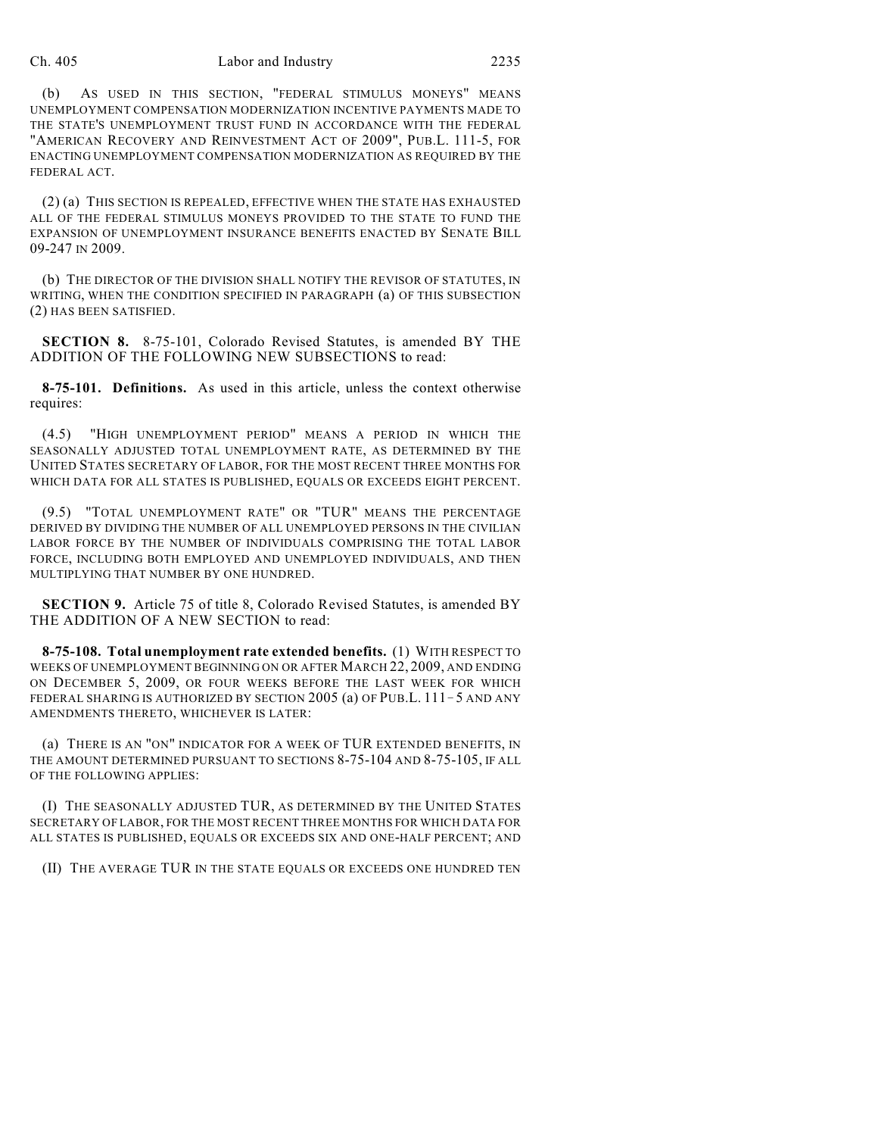#### Ch. 405 Labor and Industry 2235

(b) AS USED IN THIS SECTION, "FEDERAL STIMULUS MONEYS" MEANS UNEMPLOYMENT COMPENSATION MODERNIZATION INCENTIVE PAYMENTS MADE TO THE STATE'S UNEMPLOYMENT TRUST FUND IN ACCORDANCE WITH THE FEDERAL "AMERICAN RECOVERY AND REINVESTMENT ACT OF 2009", PUB.L. 111-5, FOR ENACTING UNEMPLOYMENT COMPENSATION MODERNIZATION AS REQUIRED BY THE FEDERAL ACT.

(2) (a) THIS SECTION IS REPEALED, EFFECTIVE WHEN THE STATE HAS EXHAUSTED ALL OF THE FEDERAL STIMULUS MONEYS PROVIDED TO THE STATE TO FUND THE EXPANSION OF UNEMPLOYMENT INSURANCE BENEFITS ENACTED BY SENATE BILL 09-247 IN 2009.

(b) THE DIRECTOR OF THE DIVISION SHALL NOTIFY THE REVISOR OF STATUTES, IN WRITING, WHEN THE CONDITION SPECIFIED IN PARAGRAPH (a) OF THIS SUBSECTION (2) HAS BEEN SATISFIED.

**SECTION 8.** 8-75-101, Colorado Revised Statutes, is amended BY THE ADDITION OF THE FOLLOWING NEW SUBSECTIONS to read:

**8-75-101. Definitions.** As used in this article, unless the context otherwise requires:

(4.5) "HIGH UNEMPLOYMENT PERIOD" MEANS A PERIOD IN WHICH THE SEASONALLY ADJUSTED TOTAL UNEMPLOYMENT RATE, AS DETERMINED BY THE UNITED STATES SECRETARY OF LABOR, FOR THE MOST RECENT THREE MONTHS FOR WHICH DATA FOR ALL STATES IS PUBLISHED, EQUALS OR EXCEEDS EIGHT PERCENT.

(9.5) "TOTAL UNEMPLOYMENT RATE" OR "TUR" MEANS THE PERCENTAGE DERIVED BY DIVIDING THE NUMBER OF ALL UNEMPLOYED PERSONS IN THE CIVILIAN LABOR FORCE BY THE NUMBER OF INDIVIDUALS COMPRISING THE TOTAL LABOR FORCE, INCLUDING BOTH EMPLOYED AND UNEMPLOYED INDIVIDUALS, AND THEN MULTIPLYING THAT NUMBER BY ONE HUNDRED.

**SECTION 9.** Article 75 of title 8, Colorado Revised Statutes, is amended BY THE ADDITION OF A NEW SECTION to read:

**8-75-108. Total unemployment rate extended benefits.** (1) WITH RESPECT TO WEEKS OF UNEMPLOYMENT BEGINNING ON OR AFTER MARCH 22, 2009, AND ENDING ON DECEMBER 5, 2009, OR FOUR WEEKS BEFORE THE LAST WEEK FOR WHICH FEDERAL SHARING IS AUTHORIZED BY SECTION 2005 (a) OF PUB.L.  $111 - 5$  AND ANY AMENDMENTS THERETO, WHICHEVER IS LATER:

(a) THERE IS AN "ON" INDICATOR FOR A WEEK OF TUR EXTENDED BENEFITS, IN THE AMOUNT DETERMINED PURSUANT TO SECTIONS 8-75-104 AND 8-75-105, IF ALL OF THE FOLLOWING APPLIES:

(I) THE SEASONALLY ADJUSTED TUR, AS DETERMINED BY THE UNITED STATES SECRETARY OF LABOR, FOR THE MOST RECENT THREE MONTHS FOR WHICH DATA FOR ALL STATES IS PUBLISHED, EQUALS OR EXCEEDS SIX AND ONE-HALF PERCENT; AND

(II) THE AVERAGE TUR IN THE STATE EQUALS OR EXCEEDS ONE HUNDRED TEN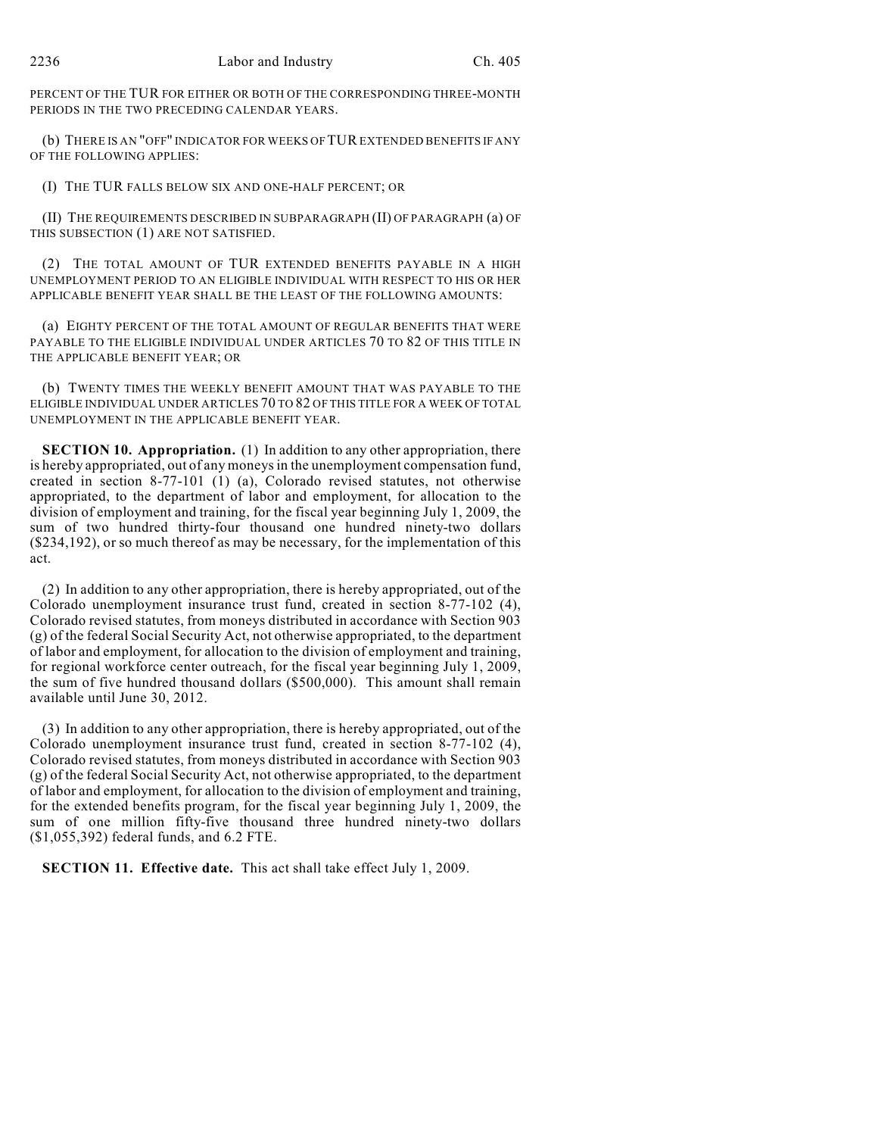PERCENT OF THE TUR FOR EITHER OR BOTH OF THE CORRESPONDING THREE-MONTH PERIODS IN THE TWO PRECEDING CALENDAR YEARS.

(b) THERE IS AN "OFF" INDICATOR FOR WEEKS OF TUR EXTENDED BENEFITS IF ANY OF THE FOLLOWING APPLIES:

(I) THE TUR FALLS BELOW SIX AND ONE-HALF PERCENT; OR

(II) THE REQUIREMENTS DESCRIBED IN SUBPARAGRAPH (II) OF PARAGRAPH (a) OF THIS SUBSECTION (1) ARE NOT SATISFIED.

(2) THE TOTAL AMOUNT OF TUR EXTENDED BENEFITS PAYABLE IN A HIGH UNEMPLOYMENT PERIOD TO AN ELIGIBLE INDIVIDUAL WITH RESPECT TO HIS OR HER APPLICABLE BENEFIT YEAR SHALL BE THE LEAST OF THE FOLLOWING AMOUNTS:

(a) EIGHTY PERCENT OF THE TOTAL AMOUNT OF REGULAR BENEFITS THAT WERE PAYABLE TO THE ELIGIBLE INDIVIDUAL UNDER ARTICLES 70 TO 82 OF THIS TITLE IN THE APPLICABLE BENEFIT YEAR; OR

(b) TWENTY TIMES THE WEEKLY BENEFIT AMOUNT THAT WAS PAYABLE TO THE ELIGIBLE INDIVIDUAL UNDER ARTICLES 70 TO 82 OF THIS TITLE FOR A WEEK OF TOTAL UNEMPLOYMENT IN THE APPLICABLE BENEFIT YEAR.

**SECTION 10. Appropriation.** (1) In addition to any other appropriation, there is hereby appropriated, out of any moneys in the unemployment compensation fund, created in section 8-77-101 (1) (a), Colorado revised statutes, not otherwise appropriated, to the department of labor and employment, for allocation to the division of employment and training, for the fiscal year beginning July 1, 2009, the sum of two hundred thirty-four thousand one hundred ninety-two dollars (\$234,192), or so much thereof as may be necessary, for the implementation of this act.

(2) In addition to any other appropriation, there is hereby appropriated, out of the Colorado unemployment insurance trust fund, created in section 8-77-102 (4), Colorado revised statutes, from moneys distributed in accordance with Section 903 (g) of the federal Social Security Act, not otherwise appropriated, to the department of labor and employment, for allocation to the division of employment and training, for regional workforce center outreach, for the fiscal year beginning July 1, 2009, the sum of five hundred thousand dollars (\$500,000). This amount shall remain available until June 30, 2012.

(3) In addition to any other appropriation, there is hereby appropriated, out of the Colorado unemployment insurance trust fund, created in section 8-77-102 (4), Colorado revised statutes, from moneys distributed in accordance with Section 903 (g) of the federal Social Security Act, not otherwise appropriated, to the department of labor and employment, for allocation to the division of employment and training, for the extended benefits program, for the fiscal year beginning July 1, 2009, the sum of one million fifty-five thousand three hundred ninety-two dollars (\$1,055,392) federal funds, and 6.2 FTE.

**SECTION 11. Effective date.** This act shall take effect July 1, 2009.